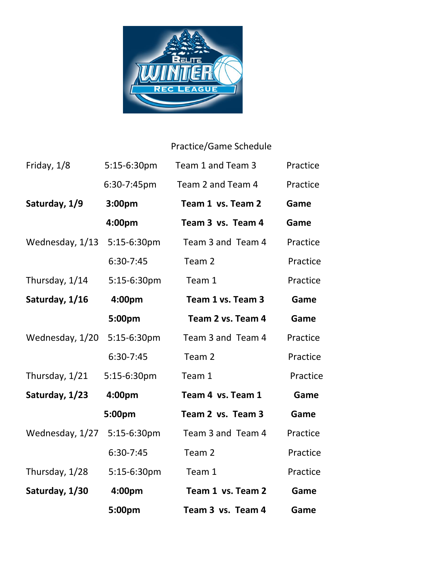

## Practice/Game Schedule

| Friday, 1/8     | 5:15-6:30pm   | Team 1 and Team 3 | Practice |
|-----------------|---------------|-------------------|----------|
|                 | 6:30-7:45pm   | Team 2 and Team 4 | Practice |
| Saturday, 1/9   | 3:00pm        | Team 1 vs. Team 2 | Game     |
|                 | 4:00pm        | Team 3 vs. Team 4 | Game     |
| Wednesday, 1/13 | 5:15-6:30pm   | Team 3 and Team 4 | Practice |
|                 | 6:30-7:45     | Team 2            | Practice |
| Thursday, 1/14  | 5:15-6:30pm   | Team 1            | Practice |
| Saturday, 1/16  | 4:00pm        | Team 1 vs. Team 3 | Game     |
|                 | 5:00pm        | Team 2 vs. Team 4 | Game     |
| Wednesday, 1/20 | 5:15-6:30pm   | Team 3 and Team 4 | Practice |
|                 | $6:30-7:45$   | Team 2            | Practice |
| Thursday, 1/21  | 5:15-6:30pm   | Team 1            | Practice |
| Saturday, 1/23  | 4:00pm        | Team 4 vs. Team 1 | Game     |
|                 | 5:00pm        | Team 2 vs. Team 3 | Game     |
| Wednesday, 1/27 | $5:15-6:30pm$ | Team 3 and Team 4 | Practice |
|                 | $6:30-7:45$   | Team 2            | Practice |
| Thursday, 1/28  | 5:15-6:30pm   | Team 1            | Practice |
| Saturday, 1/30  | 4:00pm        | Team 1 vs. Team 2 | Game     |
|                 | 5:00pm        | Team 3 vs. Team 4 | Game     |